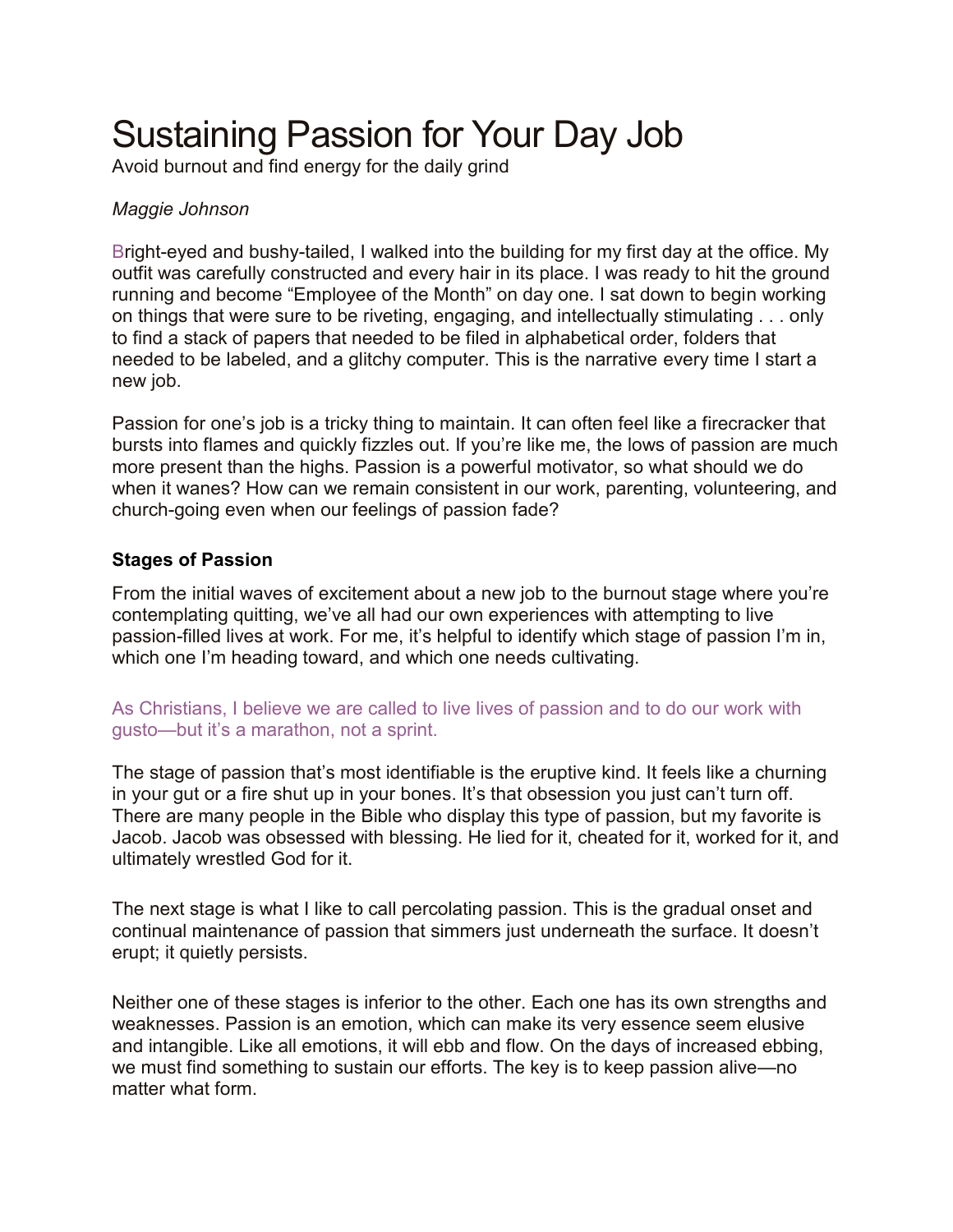# Sustaining Passion for Your Day Job

Avoid burnout and find energy for the daily grind

## *Maggie Johnson*

Bright-eyed and bushy-tailed, I walked into the building for my first day at the office. My outfit was carefully constructed and every hair in its place. I was ready to hit the ground running and become "Employee of the Month" on day one. I sat down to begin working on things that were sure to be riveting, engaging, and intellectually stimulating . . . only to find a stack of papers that needed to be filed in alphabetical order, folders that needed to be labeled, and a glitchy computer. This is the narrative every time I start a new job.

Passion for one's job is a tricky thing to maintain. It can often feel like a firecracker that bursts into flames and quickly fizzles out. If you're like me, the lows of passion are much more present than the highs. Passion is a powerful motivator, so what should we do when it wanes? How can we remain consistent in our work, parenting, volunteering, and church-going even when our feelings of passion fade?

## **Stages of Passion**

From the initial waves of excitement about a new job to the burnout stage where you're contemplating quitting, we've all had our own experiences with attempting to live passion-filled lives at work. For me, it's helpful to identify which stage of passion I'm in, which one I'm heading toward, and which one needs cultivating.

#### As Christians, I believe we are called to live lives of passion and to do our work with gusto—but it's a marathon, not a sprint.

The stage of passion that's most identifiable is the eruptive kind. It feels like a churning in your gut or a fire shut up in your bones. It's that obsession you just can't turn off. There are many people in the Bible who display this type of passion, but my favorite is Jacob. Jacob was obsessed with blessing. He lied for it, cheated for it, worked for it, and ultimately wrestled God for it.

The next stage is what I like to call percolating passion. This is the gradual onset and continual maintenance of passion that simmers just underneath the surface. It doesn't erupt; it quietly persists.

Neither one of these stages is inferior to the other. Each one has its own strengths and weaknesses. Passion is an emotion, which can make its very essence seem elusive and intangible. Like all emotions, it will ebb and flow. On the days of increased ebbing, we must find something to sustain our efforts. The key is to keep passion alive—no matter what form.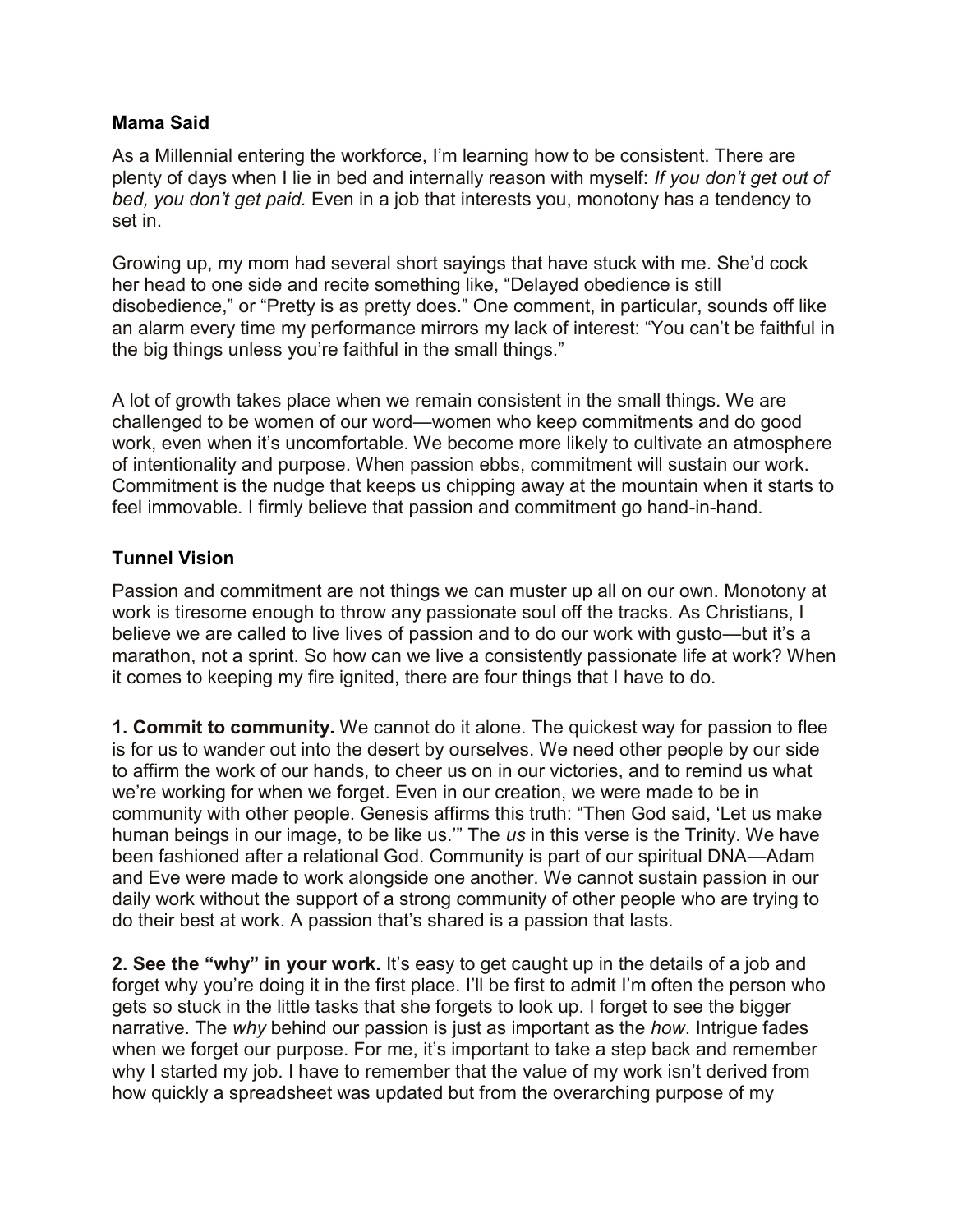#### **Mama Said**

As a Millennial entering the workforce, I'm learning how to be consistent. There are plenty of days when I lie in bed and internally reason with myself: *If you don't get out of bed, you don't get paid.* Even in a job that interests you, monotony has a tendency to set in.

Growing up, my mom had several short sayings that have stuck with me. She'd cock her head to one side and recite something like, "Delayed obedience is still disobedience," or "Pretty is as pretty does." One comment, in particular, sounds off like an alarm every time my performance mirrors my lack of interest: "You can't be faithful in the big things unless you're faithful in the small things."

A lot of growth takes place when we remain consistent in the small things. We are challenged to be women of our word—women who keep commitments and do good work, even when it's uncomfortable. We become more likely to cultivate an atmosphere of intentionality and purpose. When passion ebbs, commitment will sustain our work. Commitment is the nudge that keeps us chipping away at the mountain when it starts to feel immovable. I firmly believe that passion and commitment go hand-in-hand.

# **Tunnel Vision**

Passion and commitment are not things we can muster up all on our own. Monotony at work is tiresome enough to throw any passionate soul off the tracks. As Christians, I believe we are called to live lives of passion and to do our work with gusto—but it's a marathon, not a sprint. So how can we live a consistently passionate life at work? When it comes to keeping my fire ignited, there are four things that I have to do.

**1. Commit to community.** We cannot do it alone. The quickest way for passion to flee is for us to wander out into the desert by ourselves. We need other people by our side to affirm the work of our hands, to cheer us on in our victories, and to remind us what we're working for when we forget. Even in our creation, we were made to be in community with other people. Genesis affirms this truth: "Then God said, 'Let us make human beings in our image, to be like us.'" The *us* in this verse is the Trinity. We have been fashioned after a relational God. Community is part of our spiritual DNA—Adam and Eve were made to work alongside one another. We cannot sustain passion in our daily work without the support of a strong community of other people who are trying to do their best at work. A passion that's shared is a passion that lasts.

**2. See the "why" in your work.** It's easy to get caught up in the details of a job and forget why you're doing it in the first place. I'll be first to admit I'm often the person who gets so stuck in the little tasks that she forgets to look up. I forget to see the bigger narrative. The *why* behind our passion is just as important as the *how*. Intrigue fades when we forget our purpose. For me, it's important to take a step back and remember why I started my job. I have to remember that the value of my work isn't derived from how quickly a spreadsheet was updated but from the overarching purpose of my